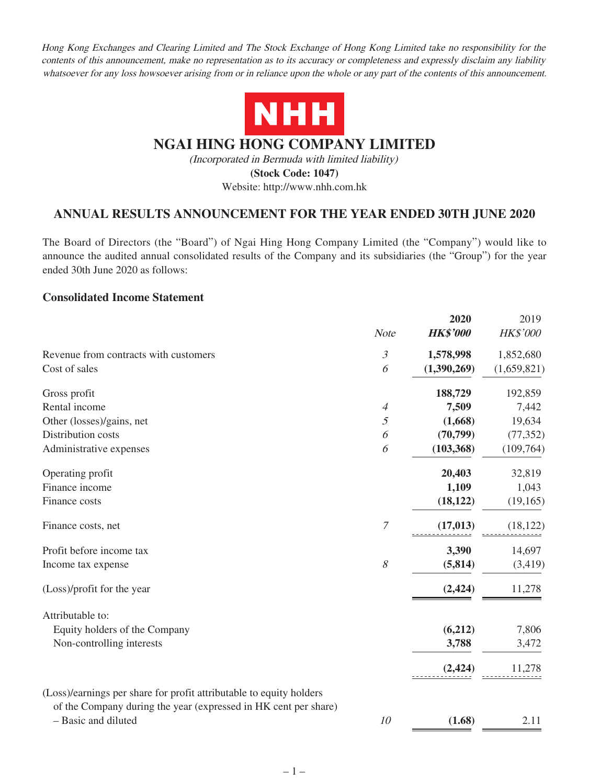Hong Kong Exchanges and Clearing Limited and The Stock Exchange of Hong Kong Limited take no responsibility for the contents of this announcement, make no representation as to its accuracy or completeness and expressly disclaim any liability whatsoever for any loss howsoever arising from or in reliance upon the whole or any part of the contents of this announcement.



# **NGAI HING HONG COMPANY LIMITED**

(Incorporated in Bermuda with limited liability)

**(Stock Code: 1047)**

Website: http://www.nhh.com.hk

# **ANNUAL RESULTS ANNOUNCEMENT FOR THE YEAR ENDED 30TH JUNE 2020**

The Board of Directors (the "Board") of Ngai Hing Hong Company Limited (the "Company") would like to announce the audited annual consolidated results of the Company and its subsidiaries (the "Group") for the year ended 30th June 2020 as follows:

### **Consolidated Income Statement**

|                                                                                        | <b>Note</b>    | 2020<br><b>HK\$'000</b> | 2019<br><b>HK\$'000</b> |
|----------------------------------------------------------------------------------------|----------------|-------------------------|-------------------------|
| Revenue from contracts with customers                                                  | $\mathfrak{Z}$ | 1,578,998               | 1,852,680               |
| Cost of sales                                                                          | 6              | (1,390,269)             | (1,659,821)             |
| Gross profit                                                                           |                | 188,729                 | 192,859                 |
| Rental income                                                                          | $\overline{4}$ | 7,509                   | 7,442                   |
| Other (losses)/gains, net                                                              | 5              | (1,668)                 | 19,634                  |
| Distribution costs                                                                     | 6              | (70, 799)               | (77, 352)               |
| Administrative expenses                                                                | 6              | (103, 368)              | (109,764)               |
| Operating profit                                                                       |                | 20,403                  | 32,819                  |
| Finance income                                                                         |                | 1,109                   | 1,043                   |
| Finance costs                                                                          |                | (18, 122)               | (19, 165)               |
| Finance costs, net                                                                     | 7              | (17, 013)               | (18, 122)               |
| Profit before income tax                                                               |                | 3,390                   | 14,697                  |
| Income tax expense                                                                     | 8              | (5, 814)                | (3, 419)                |
| (Loss)/profit for the year                                                             |                | (2, 424)                | 11,278                  |
| Attributable to:                                                                       |                |                         |                         |
| Equity holders of the Company                                                          |                | (6,212)                 | 7,806                   |
| Non-controlling interests                                                              |                | 3,788                   | 3,472                   |
|                                                                                        |                | (2, 424)                | 11,278                  |
| (Loss)/earnings per share for profit attributable to equity holders                    |                |                         |                         |
| of the Company during the year (expressed in HK cent per share)<br>- Basic and diluted | 10             | (1.68)                  | 2.11                    |
|                                                                                        |                |                         |                         |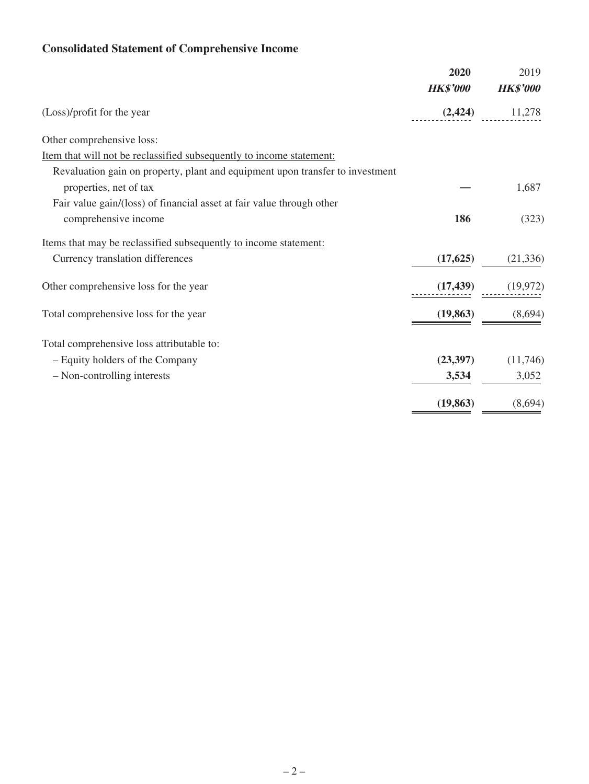# **Consolidated Statement of Comprehensive Income**

|                                                                               | 2020            | 2019            |
|-------------------------------------------------------------------------------|-----------------|-----------------|
|                                                                               | <b>HK\$'000</b> | <b>HK\$'000</b> |
| (Loss)/profit for the year                                                    | (2, 424)        | 11,278          |
| Other comprehensive loss:                                                     |                 |                 |
| Item that will not be reclassified subsequently to income statement:          |                 |                 |
| Revaluation gain on property, plant and equipment upon transfer to investment |                 |                 |
| properties, net of tax                                                        |                 | 1,687           |
| Fair value gain/(loss) of financial asset at fair value through other         |                 |                 |
| comprehensive income                                                          | 186             | (323)           |
| Items that may be reclassified subsequently to income statement:              |                 |                 |
| Currency translation differences                                              | (17, 625)       | (21, 336)       |
| Other comprehensive loss for the year                                         | (17, 439)       | (19, 972)       |
| Total comprehensive loss for the year                                         | (19, 863)       | (8,694)         |
| Total comprehensive loss attributable to:                                     |                 |                 |
| - Equity holders of the Company                                               | (23,397)        | (11,746)        |
| - Non-controlling interests                                                   | 3,534           | 3,052           |
|                                                                               | (19, 863)       | (8,694)         |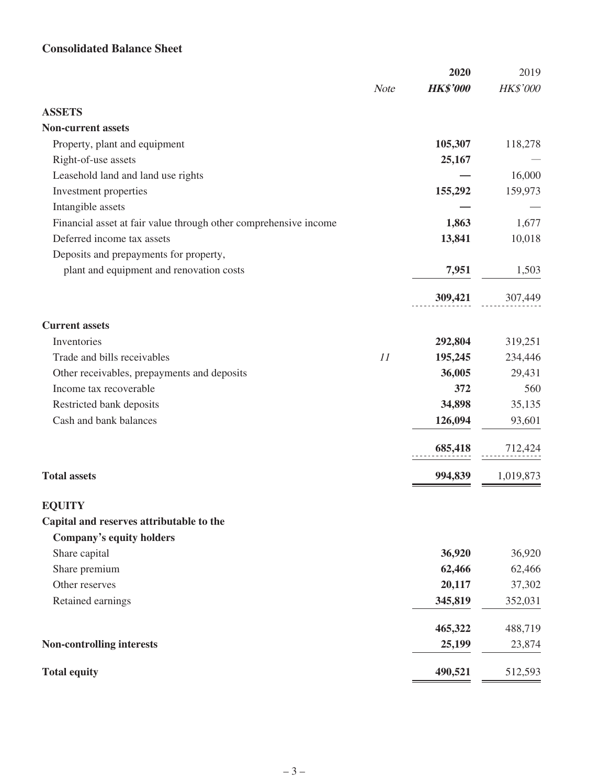# **Consolidated Balance Sheet**

|                                                                  |             | 2020            | 2019      |
|------------------------------------------------------------------|-------------|-----------------|-----------|
|                                                                  | <b>Note</b> | <b>HK\$'000</b> | HK\$'000  |
| <b>ASSETS</b>                                                    |             |                 |           |
| <b>Non-current assets</b>                                        |             |                 |           |
| Property, plant and equipment                                    |             | 105,307         | 118,278   |
| Right-of-use assets                                              |             | 25,167          |           |
| Leasehold land and land use rights                               |             |                 | 16,000    |
| Investment properties                                            |             | 155,292         | 159,973   |
| Intangible assets                                                |             |                 |           |
| Financial asset at fair value through other comprehensive income |             | 1,863           | 1,677     |
| Deferred income tax assets                                       |             | 13,841          | 10,018    |
| Deposits and prepayments for property,                           |             |                 |           |
| plant and equipment and renovation costs                         |             | 7,951           | 1,503     |
|                                                                  |             | 309,421         | 307,449   |
| <b>Current assets</b>                                            |             |                 |           |
| Inventories                                                      |             | 292,804         | 319,251   |
| Trade and bills receivables                                      | 11          | 195,245         | 234,446   |
| Other receivables, prepayments and deposits                      |             | 36,005          | 29,431    |
| Income tax recoverable                                           |             | 372             | 560       |
| Restricted bank deposits                                         |             | 34,898          | 35,135    |
| Cash and bank balances                                           |             | 126,094         | 93,601    |
|                                                                  |             | 685,418         | 712,424   |
| <b>Total assets</b>                                              |             | 994,839         | 1,019,873 |
| <b>EQUITY</b>                                                    |             |                 |           |
| Capital and reserves attributable to the                         |             |                 |           |
| Company's equity holders                                         |             |                 |           |
| Share capital                                                    |             | 36,920          | 36,920    |
| Share premium                                                    |             | 62,466          | 62,466    |
| Other reserves                                                   |             | 20,117          | 37,302    |
| Retained earnings                                                |             | 345,819         | 352,031   |
|                                                                  |             | 465,322         | 488,719   |
| <b>Non-controlling interests</b>                                 |             | 25,199          | 23,874    |
| <b>Total equity</b>                                              |             | 490,521         | 512,593   |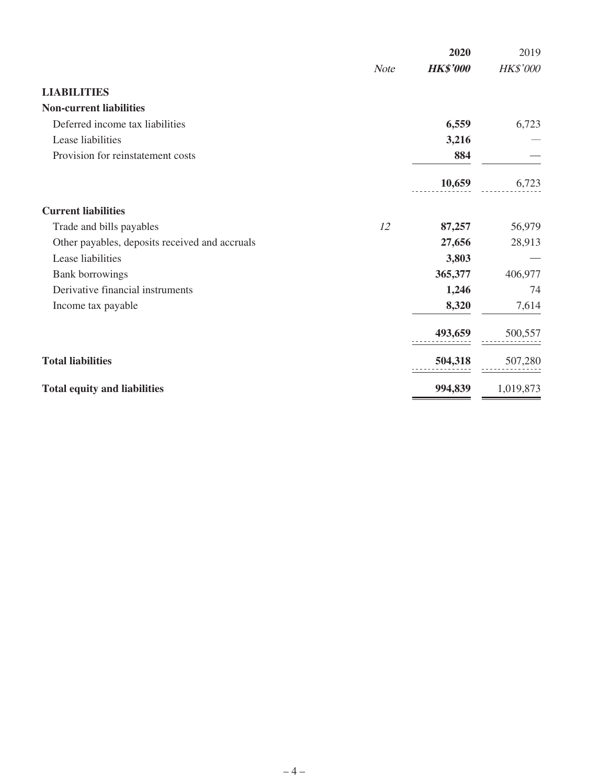|                                                |             | 2020            | 2019      |
|------------------------------------------------|-------------|-----------------|-----------|
|                                                | <b>Note</b> | <b>HK\$'000</b> | HK\$'000  |
| <b>LIABILITIES</b>                             |             |                 |           |
| <b>Non-current liabilities</b>                 |             |                 |           |
| Deferred income tax liabilities                |             | 6,559           | 6,723     |
| Lease liabilities                              |             | 3,216           |           |
| Provision for reinstatement costs              |             | 884             |           |
|                                                |             | 10,659          | 6,723     |
| <b>Current liabilities</b>                     |             |                 |           |
| Trade and bills payables                       | 12          | 87,257          | 56,979    |
| Other payables, deposits received and accruals |             | 27,656          | 28,913    |
| Lease liabilities                              |             | 3,803           |           |
| <b>Bank borrowings</b>                         |             | 365,377         | 406,977   |
| Derivative financial instruments               |             | 1,246           | 74        |
| Income tax payable                             |             | 8,320           | 7,614     |
|                                                |             | 493,659         | 500,557   |
| <b>Total liabilities</b>                       |             | 504,318         | 507,280   |
| <b>Total equity and liabilities</b>            |             | 994,839         | 1,019,873 |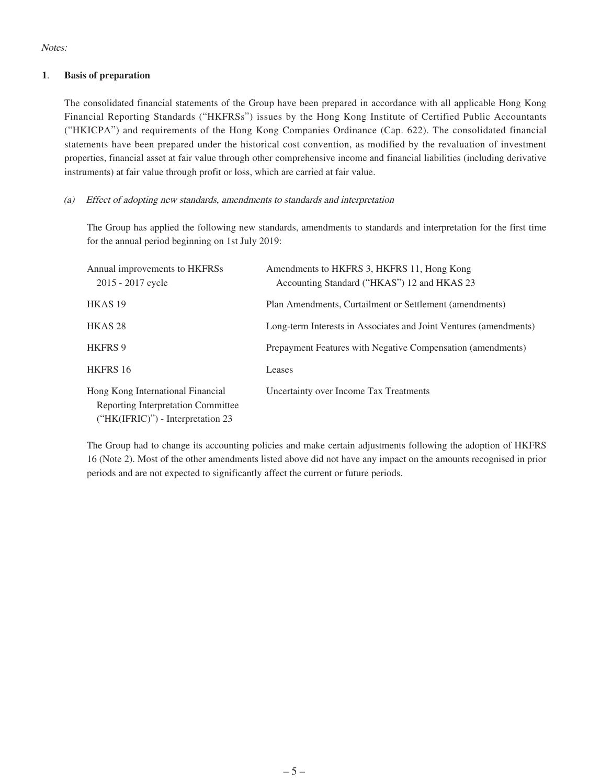Notes:

#### **1**. **Basis of preparation**

The consolidated financial statements of the Group have been prepared in accordance with all applicable Hong Kong Financial Reporting Standards ("HKFRSs") issues by the Hong Kong Institute of Certified Public Accountants ("HKICPA") and requirements of the Hong Kong Companies Ordinance (Cap. 622). The consolidated financial statements have been prepared under the historical cost convention, as modified by the revaluation of investment properties, financial asset at fair value through other comprehensive income and financial liabilities (including derivative instruments) at fair value through profit or loss, which are carried at fair value.

#### (a) Effect of adopting new standards, amendments to standards and interpretation

The Group has applied the following new standards, amendments to standards and interpretation for the first time for the annual period beginning on 1st July 2019:

| Annual improvements to HKFRSs<br>2015 - 2017 cycle                                                                    | Amendments to HKFRS 3, HKFRS 11, Hong Kong<br>Accounting Standard ("HKAS") 12 and HKAS 23 |
|-----------------------------------------------------------------------------------------------------------------------|-------------------------------------------------------------------------------------------|
| HKAS <sub>19</sub>                                                                                                    | Plan Amendments, Curtailment or Settlement (amendments)                                   |
| HKAS <sub>28</sub>                                                                                                    | Long-term Interests in Associates and Joint Ventures (amendments)                         |
| <b>HKFRS 9</b>                                                                                                        | Prepayment Features with Negative Compensation (amendments)                               |
| <b>HKFRS 16</b>                                                                                                       | Leases                                                                                    |
| Hong Kong International Financial<br><b>Reporting Interpretation Committee</b><br>$("HK(IFRIC)")$ - Interpretation 23 | Uncertainty over Income Tax Treatments                                                    |

The Group had to change its accounting policies and make certain adjustments following the adoption of HKFRS 16 (Note 2). Most of the other amendments listed above did not have any impact on the amounts recognised in prior periods and are not expected to significantly affect the current or future periods.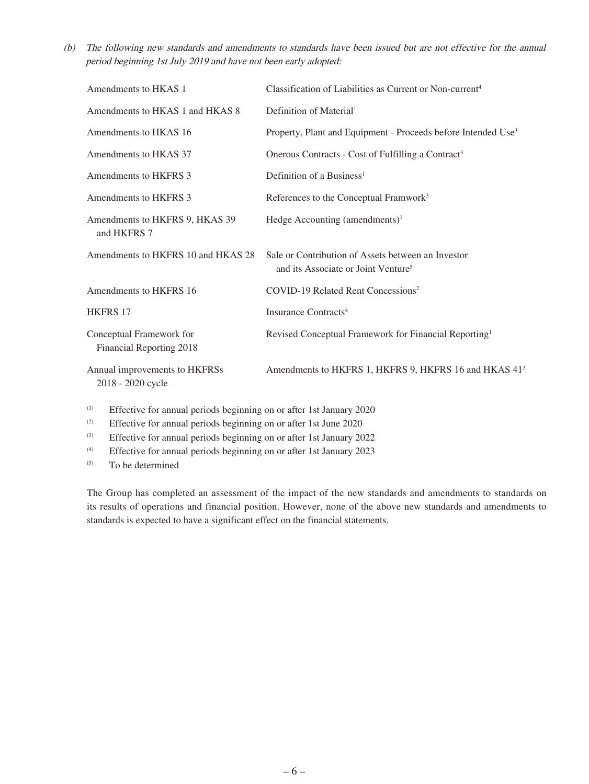(b) The following new standards and amendments to standards have been issued but are not effective for the annual period beginning 1st July 2019 and have not been early adopted:

| Amendments to HKAS 1                                                      | Classification of Liabilities as Current or Non-current <sup>4</sup>                                  |
|---------------------------------------------------------------------------|-------------------------------------------------------------------------------------------------------|
| Amendments to HKAS 1 and HKAS 8                                           | Definition of Material <sup>1</sup>                                                                   |
| Amendments to HKAS 16                                                     | Property, Plant and Equipment - Proceeds before Intended Use <sup>3</sup>                             |
| Amendments to HKAS 37                                                     | Onerous Contracts - Cost of Fulfilling a Contract <sup>3</sup>                                        |
| Amendments to HKFRS 3                                                     | Definition of a Business <sup>1</sup>                                                                 |
| Amendments to HKFRS 3                                                     | References to the Conceptual Framwork <sup>3</sup>                                                    |
| Amendments to HKFRS 9, HKAS 39<br>and HKFRS 7                             | Hedge Accounting (amendments) $1$                                                                     |
| Amendments to HKFRS 10 and HKAS 28                                        | Sale or Contribution of Assets between an Investor<br>and its Associate or Joint Venture <sup>5</sup> |
| Amendments to HKFRS 16                                                    | COVID-19 Related Rent Concessions <sup>2</sup>                                                        |
| <b>HKFRS 17</b>                                                           | Insurance Contracts <sup>4</sup>                                                                      |
| Conceptual Framework for<br>Financial Reporting 2018                      | Revised Conceptual Framework for Financial Reporting <sup>1</sup>                                     |
| Annual improvements to HKFRSs<br>2018 - 2020 cycle                        | Amendments to HKFRS 1, HKFRS 9, HKFRS 16 and HKAS 41 <sup>3</sup>                                     |
| $\mu$ Effective for annual periods beginning on or efter let Ianuary 2020 |                                                                                                       |

Effective for annual periods beginning on or after 1st January 2020

(2) Effective for annual periods beginning on or after 1st June 2020

(3) Effective for annual periods beginning on or after 1st January 2022

(4) Effective for annual periods beginning on or after 1st January 2023

(5) To be determined

The Group has completed an assessment of the impact of the new standards and amendments to standards on its results of operations and financial position. However, none of the above new standards and amendments to standards is expected to have a significant effect on the financial statements.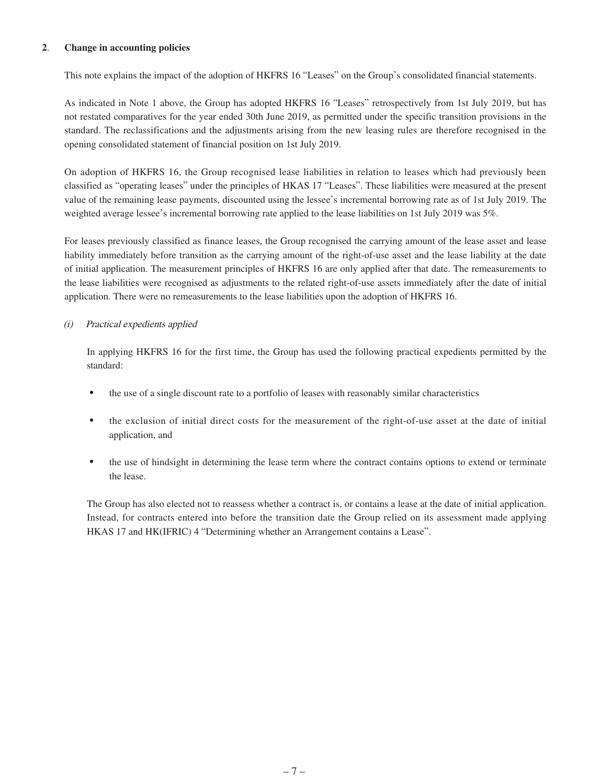#### **2**. **Change in accounting policies**

This note explains the impact of the adoption of HKFRS 16 "Leases" on the Group's consolidated financial statements.

As indicated in Note 1 above, the Group has adopted HKFRS 16 "Leases" retrospectively from 1st July 2019, but has not restated comparatives for the year ended 30th June 2019, as permitted under the specific transition provisions in the standard. The reclassifications and the adjustments arising from the new leasing rules are therefore recognised in the opening consolidated statement of financial position on 1st July 2019.

On adoption of HKFRS 16, the Group recognised lease liabilities in relation to leases which had previously been classified as "operating leases" under the principles of HKAS 17 "Leases". These liabilities were measured at the present value of the remaining lease payments, discounted using the lessee's incremental borrowing rate as of 1st July 2019. The weighted average lessee's incremental borrowing rate applied to the lease liabilities on 1st July 2019 was 5%.

For leases previously classified as finance leases, the Group recognised the carrying amount of the lease asset and lease liability immediately before transition as the carrying amount of the right-of-use asset and the lease liability at the date of initial application. The measurement principles of HKFRS 16 are only applied after that date. The remeasurements to the lease liabilities were recognised as adjustments to the related right-of-use assets immediately after the date of initial application. There were no remeasurements to the lease liabilities upon the adoption of HKFRS 16.

#### (i) Practical expedients applied

In applying HKFRS 16 for the first time, the Group has used the following practical expedients permitted by the standard:

- the use of a single discount rate to a portfolio of leases with reasonably similar characteristics
- the exclusion of initial direct costs for the measurement of the right-of-use asset at the date of initial application, and
- the use of hindsight in determining the lease term where the contract contains options to extend or terminate the lease.

The Group has also elected not to reassess whether a contract is, or contains a lease at the date of initial application. Instead, for contracts entered into before the transition date the Group relied on its assessment made applying HKAS 17 and HK(IFRIC) 4 "Determining whether an Arrangement contains a Lease".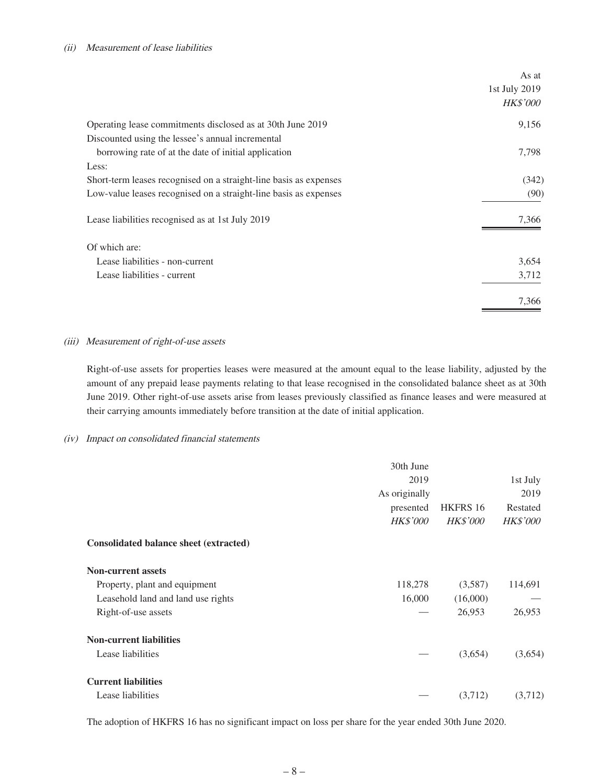#### (ii) Measurement of lease liabilities

|                                                                   | As at           |
|-------------------------------------------------------------------|-----------------|
|                                                                   | 1st July 2019   |
|                                                                   | <i>HK\$'000</i> |
| Operating lease commitments disclosed as at 30th June 2019        | 9,156           |
| Discounted using the lessee's annual incremental                  |                 |
| borrowing rate of at the date of initial application              | 7,798           |
| Less:                                                             |                 |
| Short-term leases recognised on a straight-line basis as expenses | (342)           |
| Low-value leases recognised on a straight-line basis as expenses  | (90)            |
| Lease liabilities recognised as at 1st July 2019                  | 7,366           |
| Of which are:                                                     |                 |
| Lease liabilities - non-current                                   | 3,654           |
| Lease liabilities - current                                       | 3,712           |
|                                                                   | 7,366           |

#### (iii) Measurement of right-of-use assets

Right-of-use assets for properties leases were measured at the amount equal to the lease liability, adjusted by the amount of any prepaid lease payments relating to that lease recognised in the consolidated balance sheet as at 30th June 2019. Other right-of-use assets arise from leases previously classified as finance leases and were measured at their carrying amounts immediately before transition at the date of initial application.

#### (iv) Impact on consolidated financial statements

|                                               | 30th June<br>2019<br>As originally<br>presented<br><b>HK\$'000</b> | HKFRS 16<br><b>HK\$'000</b> | 1st July<br>2019<br>Restated<br><b>HK\$'000</b> |
|-----------------------------------------------|--------------------------------------------------------------------|-----------------------------|-------------------------------------------------|
| <b>Consolidated balance sheet (extracted)</b> |                                                                    |                             |                                                 |
| <b>Non-current assets</b>                     |                                                                    |                             |                                                 |
| Property, plant and equipment                 | 118,278                                                            | (3,587)                     | 114,691                                         |
| Leasehold land and land use rights            | 16,000                                                             | (16,000)                    |                                                 |
| Right-of-use assets                           |                                                                    | 26,953                      | 26,953                                          |
| <b>Non-current liabilities</b>                |                                                                    |                             |                                                 |
| Lease liabilities                             |                                                                    | (3,654)                     | (3,654)                                         |
| <b>Current liabilities</b>                    |                                                                    |                             |                                                 |
| Lease liabilities                             |                                                                    | (3,712)                     | (3,712)                                         |

The adoption of HKFRS 16 has no significant impact on loss per share for the year ended 30th June 2020.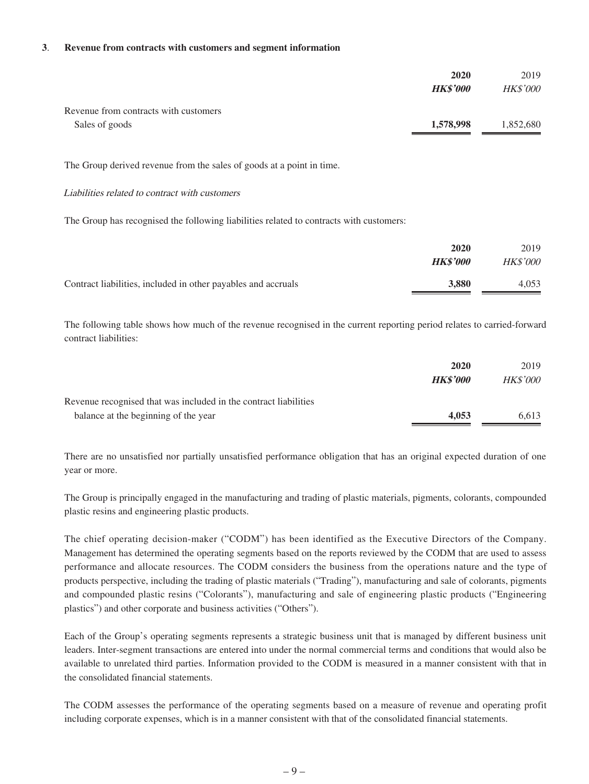#### **3**. **Revenue from contracts with customers and segment information**

|                                       | 2020            | 2019            |
|---------------------------------------|-----------------|-----------------|
|                                       | <b>HK\$'000</b> | <b>HK\$'000</b> |
| Revenue from contracts with customers |                 |                 |
| Sales of goods                        | 1,578,998       | 1,852,680       |

The Group derived revenue from the sales of goods at a point in time.

#### Liabilities related to contract with customers

The Group has recognised the following liabilities related to contracts with customers:

|                                                               | 2020            | 2019            |
|---------------------------------------------------------------|-----------------|-----------------|
|                                                               | <b>HK\$'000</b> | <b>HK\$'000</b> |
| Contract liabilities, included in other payables and accruals | 3.880           | 4.053           |

The following table shows how much of the revenue recognised in the current reporting period relates to carried-forward contract liabilities:

|                                                                  | 2020            | 2019            |
|------------------------------------------------------------------|-----------------|-----------------|
|                                                                  | <b>HK\$'000</b> | <i>HK\$'000</i> |
| Revenue recognised that was included in the contract liabilities |                 |                 |
| balance at the beginning of the year                             | 4,053           | 6.613           |

There are no unsatisfied nor partially unsatisfied performance obligation that has an original expected duration of one year or more.

The Group is principally engaged in the manufacturing and trading of plastic materials, pigments, colorants, compounded plastic resins and engineering plastic products.

The chief operating decision-maker ("CODM") has been identified as the Executive Directors of the Company. Management has determined the operating segments based on the reports reviewed by the CODM that are used to assess performance and allocate resources. The CODM considers the business from the operations nature and the type of products perspective, including the trading of plastic materials ("Trading"), manufacturing and sale of colorants, pigments and compounded plastic resins ("Colorants"), manufacturing and sale of engineering plastic products ("Engineering plastics") and other corporate and business activities ("Others").

Each of the Group's operating segments represents a strategic business unit that is managed by different business unit leaders. Inter-segment transactions are entered into under the normal commercial terms and conditions that would also be available to unrelated third parties. Information provided to the CODM is measured in a manner consistent with that in the consolidated financial statements.

The CODM assesses the performance of the operating segments based on a measure of revenue and operating profit including corporate expenses, which is in a manner consistent with that of the consolidated financial statements.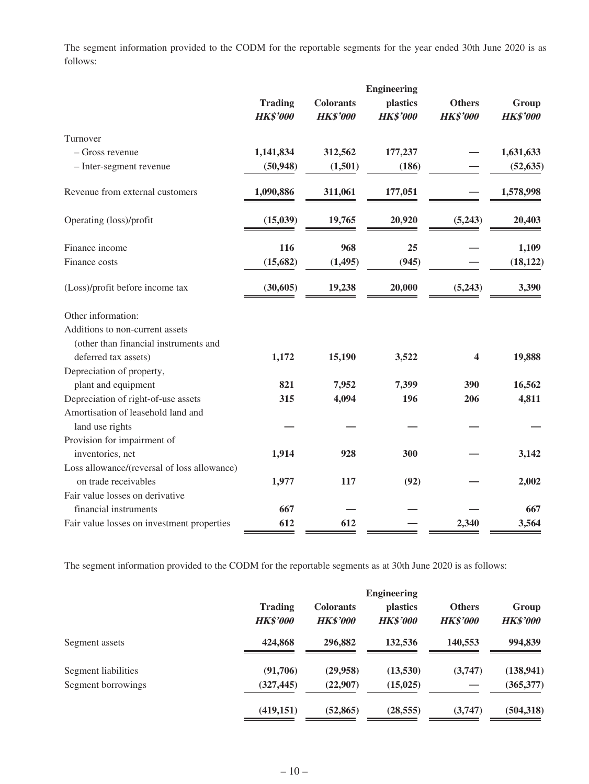The segment information provided to the CODM for the reportable segments for the year ended 30th June 2020 is as follows:

|                                             | <b>Engineering</b> |                  |                 |                 |                 |
|---------------------------------------------|--------------------|------------------|-----------------|-----------------|-----------------|
|                                             | <b>Trading</b>     | <b>Colorants</b> | plastics        | <b>Others</b>   | Group           |
|                                             | <b>HK\$'000</b>    | <b>HK\$'000</b>  | <b>HK\$'000</b> | <b>HK\$'000</b> | <b>HK\$'000</b> |
| Turnover                                    |                    |                  |                 |                 |                 |
| - Gross revenue                             | 1,141,834          | 312,562          | 177,237         |                 | 1,631,633       |
| - Inter-segment revenue                     | (50, 948)          | (1,501)          | (186)           |                 | (52, 635)       |
| Revenue from external customers             | 1,090,886          | 311,061          | 177,051         |                 | 1,578,998       |
| Operating (loss)/profit                     | (15, 039)          | 19,765           | 20,920          | (5,243)         | 20,403          |
| Finance income                              | 116                | 968              | 25              |                 | 1,109           |
| Finance costs                               | (15,682)           | (1, 495)         | (945)           |                 | (18, 122)       |
| (Loss)/profit before income tax             | (30,605)           | 19,238           | 20,000          | (5,243)         | 3,390           |
| Other information:                          |                    |                  |                 |                 |                 |
| Additions to non-current assets             |                    |                  |                 |                 |                 |
| (other than financial instruments and       |                    |                  |                 |                 |                 |
| deferred tax assets)                        | 1,172              | 15,190           | 3,522           | 4               | 19,888          |
| Depreciation of property,                   |                    |                  |                 |                 |                 |
| plant and equipment                         | 821                | 7,952            | 7,399           | 390             | 16,562          |
| Depreciation of right-of-use assets         | 315                | 4,094            | 196             | 206             | 4,811           |
| Amortisation of leasehold land and          |                    |                  |                 |                 |                 |
| land use rights                             |                    |                  |                 |                 |                 |
| Provision for impairment of                 |                    |                  |                 |                 |                 |
| inventories, net                            | 1,914              | 928              | 300             |                 | 3,142           |
| Loss allowance/(reversal of loss allowance) |                    |                  |                 |                 |                 |
| on trade receivables                        | 1,977              | 117              | (92)            |                 | 2,002           |
| Fair value losses on derivative             |                    |                  |                 |                 |                 |
| financial instruments                       | 667                |                  |                 |                 | 667             |
| Fair value losses on investment properties  | 612                | 612              |                 | 2,340           | 3,564           |

The segment information provided to the CODM for the reportable segments as at 30th June 2020 is as follows:

|                     |                                   |                                     | <b>Engineering</b>          |                                  |                          |
|---------------------|-----------------------------------|-------------------------------------|-----------------------------|----------------------------------|--------------------------|
|                     | <b>Trading</b><br><b>HK\$'000</b> | <b>Colorants</b><br><b>HK\$'000</b> | plastics<br><b>HK\$'000</b> | <b>Others</b><br><b>HK\$'000</b> | Group<br><b>HK\$'000</b> |
| Segment assets      | 424,868                           | 296,882                             | 132,536                     | 140,553                          | 994,839                  |
| Segment liabilities | (91,706)                          | (29,958)                            | (13,530)                    | (3,747)                          | (138, 941)               |
| Segment borrowings  | (327, 445)                        | (22,907)                            | (15, 025)                   |                                  | (365,377)                |
|                     | (419, 151)                        | (52, 865)                           | (28, 555)                   | (3,747)                          | (504, 318)               |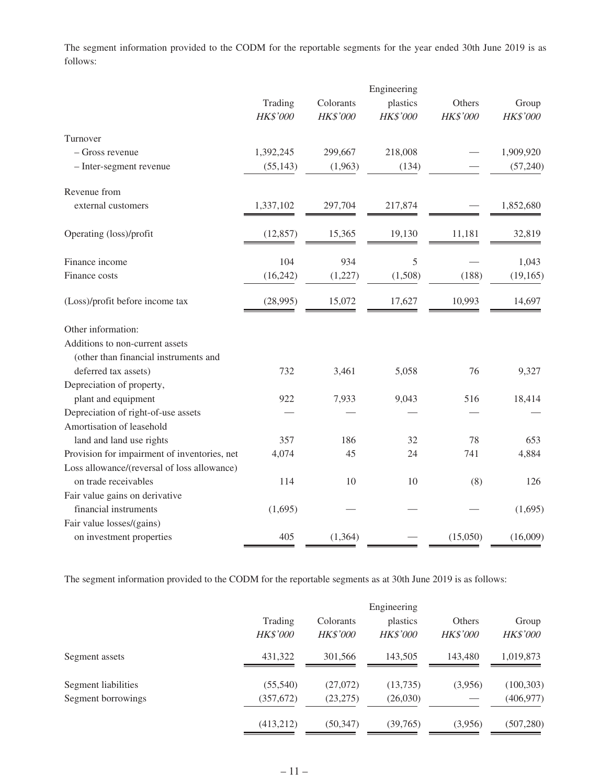The segment information provided to the CODM for the reportable segments for the year ended 30th June 2019 is as follows:

|                                              |                 |           | Engineering     |          |           |
|----------------------------------------------|-----------------|-----------|-----------------|----------|-----------|
|                                              | Trading         | Colorants | plastics        | Others   | Group     |
|                                              | <b>HK\$'000</b> | HK\$'000  | <b>HK\$'000</b> | HK\$'000 | HK\$'000  |
| Turnover                                     |                 |           |                 |          |           |
| - Gross revenue                              | 1,392,245       | 299,667   | 218,008         |          | 1,909,920 |
| - Inter-segment revenue                      | (55, 143)       | (1,963)   | (134)           |          | (57,240)  |
| Revenue from                                 |                 |           |                 |          |           |
| external customers                           | 1,337,102       | 297,704   | 217,874         |          | 1,852,680 |
| Operating (loss)/profit                      | (12, 857)       | 15,365    | 19,130          | 11,181   | 32,819    |
| Finance income                               | 104             | 934       | 5               |          | 1,043     |
| Finance costs                                | (16, 242)       | (1,227)   | (1,508)         | (188)    | (19, 165) |
| (Loss)/profit before income tax              | (28,995)        | 15,072    | 17,627          | 10,993   | 14,697    |
| Other information:                           |                 |           |                 |          |           |
| Additions to non-current assets              |                 |           |                 |          |           |
| (other than financial instruments and        |                 |           |                 |          |           |
| deferred tax assets)                         | 732             | 3,461     | 5,058           | 76       | 9,327     |
| Depreciation of property,                    |                 |           |                 |          |           |
| plant and equipment                          | 922             | 7,933     | 9,043           | 516      | 18,414    |
| Depreciation of right-of-use assets          |                 |           |                 |          |           |
| Amortisation of leasehold                    |                 |           |                 |          |           |
| land and land use rights                     | 357             | 186       | 32              | 78       | 653       |
| Provision for impairment of inventories, net | 4,074           | 45        | 24              | 741      | 4,884     |
| Loss allowance/(reversal of loss allowance)  |                 |           |                 |          |           |
| on trade receivables                         | 114             | 10        | 10              | (8)      | 126       |
| Fair value gains on derivative               |                 |           |                 |          |           |
| financial instruments                        | (1,695)         |           |                 |          | (1,695)   |
| Fair value losses/(gains)                    |                 |           |                 |          |           |
| on investment properties                     | 405             | (1, 364)  |                 | (15,050) | (16,009)  |

The segment information provided to the CODM for the reportable segments as at 30th June 2019 is as follows:

|                     |                     |                              | Engineering                 |                           |                          |
|---------------------|---------------------|------------------------------|-----------------------------|---------------------------|--------------------------|
|                     | Trading<br>HK\$'000 | Colorants<br><b>HK\$'000</b> | plastics<br><b>HK\$'000</b> | Others<br><b>HK\$'000</b> | Group<br><b>HK\$'000</b> |
| Segment assets      | 431.322             | 301.566                      | 143,505                     | 143,480                   | 1,019,873                |
| Segment liabilities | (55,540)            | (27,072)                     | (13,735)                    | (3,956)                   | (100, 303)               |
| Segment borrowings  | (357, 672)          | (23, 275)                    | (26,030)                    |                           | (406, 977)               |
|                     | (413,212)           | (50, 347)                    | (39, 765)                   | (3,956)                   | (507, 280)               |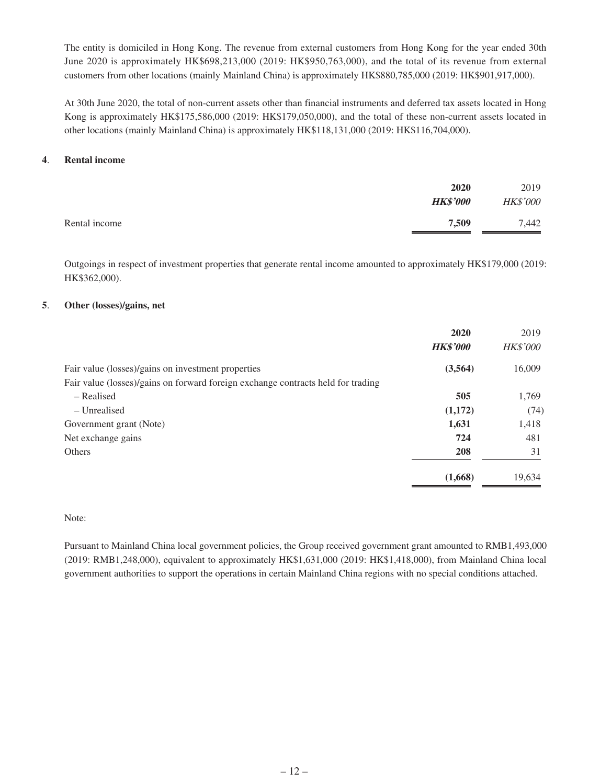The entity is domiciled in Hong Kong. The revenue from external customers from Hong Kong for the year ended 30th June 2020 is approximately HK\$698,213,000 (2019: HK\$950,763,000), and the total of its revenue from external customers from other locations (mainly Mainland China) is approximately HK\$880,785,000 (2019: HK\$901,917,000).

At 30th June 2020, the total of non-current assets other than financial instruments and deferred tax assets located in Hong Kong is approximately HK\$175,586,000 (2019: HK\$179,050,000), and the total of these non-current assets located in other locations (mainly Mainland China) is approximately HK\$118,131,000 (2019: HK\$116,704,000).

#### **4**. **Rental income**

|               | 2020<br><b>HK\$'000</b> | 2019<br><b>HK\$'000</b> |
|---------------|-------------------------|-------------------------|
| Rental income | 7,509                   | 7,442                   |

Outgoings in respect of investment properties that generate rental income amounted to approximately HK\$179,000 (2019: HK\$362,000).

#### **5**. **Other (losses)/gains, net**

|                                                                                  | 2020            | 2019            |
|----------------------------------------------------------------------------------|-----------------|-----------------|
|                                                                                  | <b>HK\$'000</b> | <b>HK\$'000</b> |
| Fair value (losses)/gains on investment properties                               | (3,564)         | 16,009          |
| Fair value (losses)/gains on forward foreign exchange contracts held for trading |                 |                 |
| – Realised                                                                       | 505             | 1,769           |
| – Unrealised                                                                     | (1,172)         | (74)            |
| Government grant (Note)                                                          | 1,631           | 1,418           |
| Net exchange gains                                                               | 724             | 481             |
| Others                                                                           | 208             | 31              |
|                                                                                  | (1,668)         | 19,634          |

#### Note:

Pursuant to Mainland China local government policies, the Group received government grant amounted to RMB1,493,000 (2019: RMB1,248,000), equivalent to approximately HK\$1,631,000 (2019: HK\$1,418,000), from Mainland China local government authorities to support the operations in certain Mainland China regions with no special conditions attached.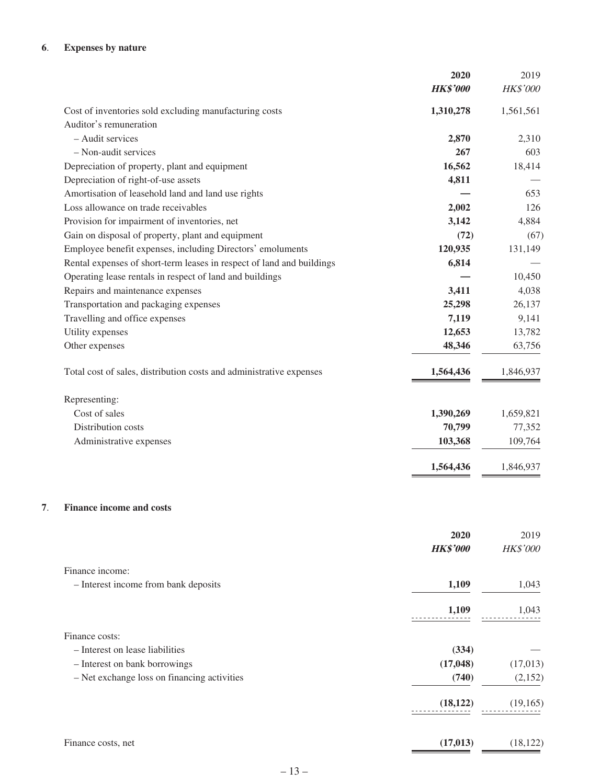#### **6**. **Expenses by nature**

|                                                                       | 2020            | 2019            |
|-----------------------------------------------------------------------|-----------------|-----------------|
|                                                                       | <b>HK\$'000</b> | HK\$'000        |
| Cost of inventories sold excluding manufacturing costs                | 1,310,278       | 1,561,561       |
| Auditor's remuneration                                                |                 |                 |
| - Audit services                                                      | 2,870           | 2,310           |
| - Non-audit services                                                  | 267             | 603             |
| Depreciation of property, plant and equipment                         | 16,562          | 18,414          |
| Depreciation of right-of-use assets                                   | 4,811           |                 |
| Amortisation of leasehold land and land use rights                    |                 | 653             |
| Loss allowance on trade receivables                                   | 2,002           | 126             |
| Provision for impairment of inventories, net                          | 3,142           | 4,884           |
| Gain on disposal of property, plant and equipment                     | (72)            | (67)            |
| Employee benefit expenses, including Directors' emoluments            | 120,935         | 131,149         |
| Rental expenses of short-term leases in respect of land and buildings | 6,814           |                 |
| Operating lease rentals in respect of land and buildings              |                 | 10,450          |
| Repairs and maintenance expenses                                      | 3,411           | 4,038           |
| Transportation and packaging expenses                                 | 25,298          | 26,137          |
| Travelling and office expenses                                        | 7,119           | 9,141           |
| Utility expenses                                                      | 12,653          | 13,782          |
| Other expenses                                                        | 48,346          | 63,756          |
|                                                                       |                 |                 |
| Total cost of sales, distribution costs and administrative expenses   | 1,564,436       | 1,846,937       |
| Representing:                                                         |                 |                 |
| Cost of sales                                                         | 1,390,269       | 1,659,821       |
| Distribution costs                                                    | 70,799          | 77,352          |
| Administrative expenses                                               | 103,368         | 109,764         |
|                                                                       | 1,564,436       | 1,846,937       |
|                                                                       |                 |                 |
| <b>Finance income and costs</b>                                       |                 |                 |
|                                                                       |                 |                 |
|                                                                       | 2020            | 2019            |
|                                                                       | <b>HK\$'000</b> | <b>HK\$'000</b> |
| Finance income:                                                       |                 |                 |
| - Interest income from bank deposits                                  | 1,109           | 1,043           |
|                                                                       |                 |                 |
|                                                                       | 1,109           | 1,043           |
| Finance costs:                                                        |                 |                 |
| - Interest on lease liabilities                                       | (334)           |                 |
| - Interest on bank borrowings                                         | (17, 048)       | (17, 013)       |
| - Net exchange loss on financing activities                           | (740)           | (2,152)         |
|                                                                       | (18, 122)       | (19, 165)       |
|                                                                       |                 |                 |
| Finance costs, net                                                    | (17, 013)       | (18, 122)       |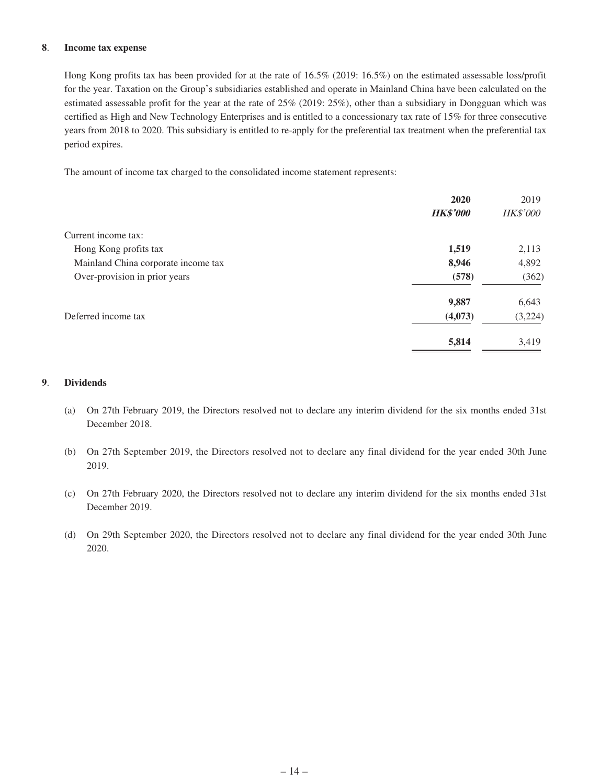#### **8**. **Income tax expense**

Hong Kong profits tax has been provided for at the rate of 16.5% (2019: 16.5%) on the estimated assessable loss/profit for the year. Taxation on the Group's subsidiaries established and operate in Mainland China have been calculated on the estimated assessable profit for the year at the rate of 25% (2019: 25%), other than a subsidiary in Dongguan which was certified as High and New Technology Enterprises and is entitled to a concessionary tax rate of 15% for three consecutive years from 2018 to 2020. This subsidiary is entitled to re-apply for the preferential tax treatment when the preferential tax period expires.

The amount of income tax charged to the consolidated income statement represents:

|                                     | 2020            | 2019            |
|-------------------------------------|-----------------|-----------------|
|                                     | <b>HK\$'000</b> | <b>HK\$'000</b> |
| Current income tax:                 |                 |                 |
| Hong Kong profits tax               | 1,519           | 2,113           |
| Mainland China corporate income tax | 8,946           | 4,892           |
| Over-provision in prior years       | (578)           | (362)           |
|                                     | 9,887           | 6,643           |
| Deferred income tax                 | (4,073)         | (3,224)         |
|                                     | 5,814           | 3,419           |

#### **9**. **Dividends**

- (a) On 27th February 2019, the Directors resolved not to declare any interim dividend for the six months ended 31st December 2018.
- (b) On 27th September 2019, the Directors resolved not to declare any final dividend for the year ended 30th June 2019.
- (c) On 27th February 2020, the Directors resolved not to declare any interim dividend for the six months ended 31st December 2019.
- (d) On 29th September 2020, the Directors resolved not to declare any final dividend for the year ended 30th June 2020.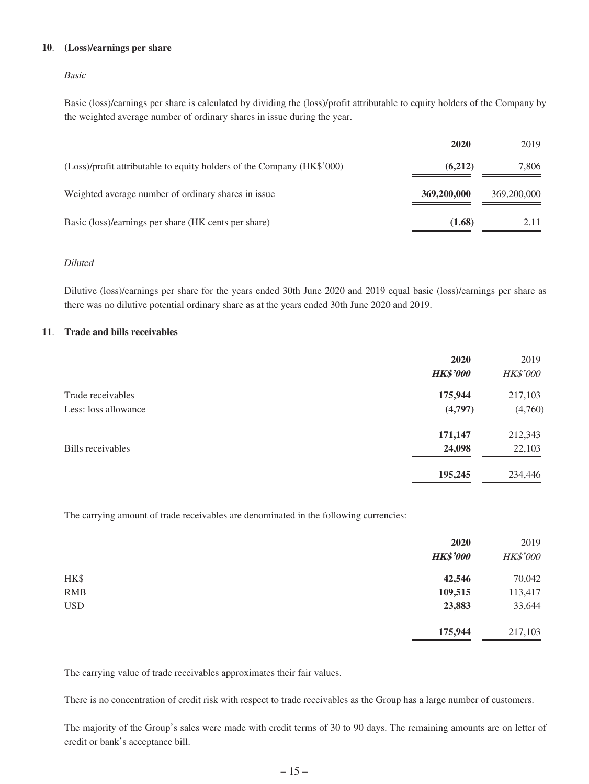#### **10**. **(Loss)/earnings per share**

#### Basic

Basic (loss)/earnings per share is calculated by dividing the (loss)/profit attributable to equity holders of the Company by the weighted average number of ordinary shares in issue during the year.

|                                                                        | 2020        | 2019        |
|------------------------------------------------------------------------|-------------|-------------|
| (Loss)/profit attributable to equity holders of the Company (HK\$'000) | (6,212)     | 7,806       |
| Weighted average number of ordinary shares in issue                    | 369,200,000 | 369,200,000 |
| Basic (loss)/earnings per share (HK cents per share)                   | (1.68)      | 2.11        |

#### Diluted

Dilutive (loss)/earnings per share for the years ended 30th June 2020 and 2019 equal basic (loss)/earnings per share as there was no dilutive potential ordinary share as at the years ended 30th June 2020 and 2019.

#### **11**. **Trade and bills receivables**

|                          | 2020            | 2019            |
|--------------------------|-----------------|-----------------|
|                          | <b>HK\$'000</b> | <b>HK\$'000</b> |
| Trade receivables        | 175,944         | 217,103         |
| Less: loss allowance     | (4,797)         | (4,760)         |
|                          | 171,147         | 212,343         |
| <b>Bills</b> receivables | 24,098          | 22,103          |
|                          | 195,245         | 234,446         |

The carrying amount of trade receivables are denominated in the following currencies:

|            | 2020<br><b>HK\$'000</b> | 2019<br>HK\$'000 |
|------------|-------------------------|------------------|
| HK\$       | 42,546                  | 70,042           |
| <b>RMB</b> | 109,515                 | 113,417          |
| <b>USD</b> | 23,883                  | 33,644           |
|            | 175,944                 | 217,103          |

The carrying value of trade receivables approximates their fair values.

There is no concentration of credit risk with respect to trade receivables as the Group has a large number of customers.

The majority of the Group's sales were made with credit terms of 30 to 90 days. The remaining amounts are on letter of credit or bank's acceptance bill.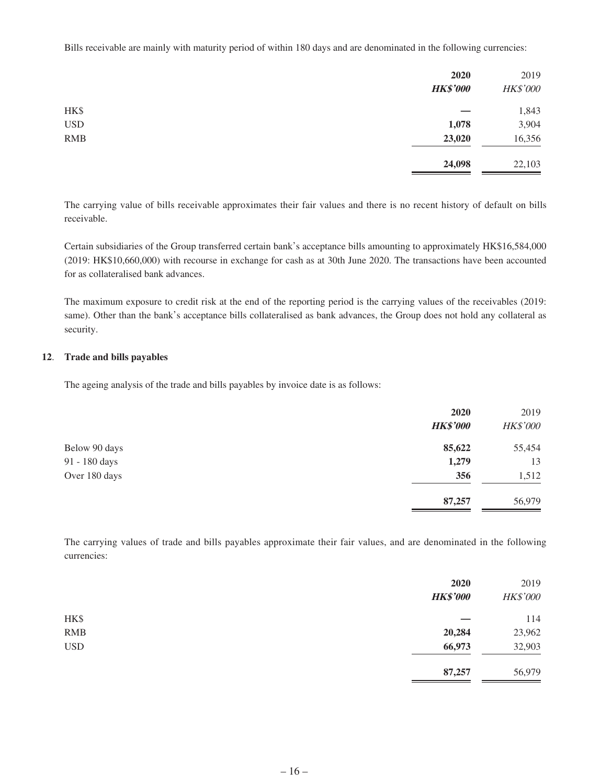Bills receivable are mainly with maturity period of within 180 days and are denominated in the following currencies:

|            | 2020<br><b>HK\$'000</b> | 2019<br>HK\$'000 |
|------------|-------------------------|------------------|
| HK\$       |                         | 1,843            |
| <b>USD</b> | 1,078                   | 3,904            |
| <b>RMB</b> | 23,020                  | 16,356           |
|            | 24,098                  | 22,103           |

The carrying value of bills receivable approximates their fair values and there is no recent history of default on bills receivable.

Certain subsidiaries of the Group transferred certain bank's acceptance bills amounting to approximately HK\$16,584,000 (2019: HK\$10,660,000) with recourse in exchange for cash as at 30th June 2020. The transactions have been accounted for as collateralised bank advances.

The maximum exposure to credit risk at the end of the reporting period is the carrying values of the receivables (2019: same). Other than the bank's acceptance bills collateralised as bank advances, the Group does not hold any collateral as security.

#### **12**. **Trade and bills payables**

The ageing analysis of the trade and bills payables by invoice date is as follows:

|               | 2020            | 2019     |
|---------------|-----------------|----------|
|               | <b>HK\$'000</b> | HK\$'000 |
| Below 90 days | 85,622          | 55,454   |
| 91 - 180 days | 1,279           | 13       |
| Over 180 days | 356             | 1,512    |
|               | 87,257          | 56,979   |

The carrying values of trade and bills payables approximate their fair values, and are denominated in the following currencies:

|            | 2020<br><b>HK\$'000</b> | 2019<br>HK\$'000 |
|------------|-------------------------|------------------|
| HK\$       |                         | 114              |
| <b>RMB</b> | 20,284                  | 23,962           |
| <b>USD</b> | 66,973                  | 32,903           |
|            | 87,257                  | 56,979           |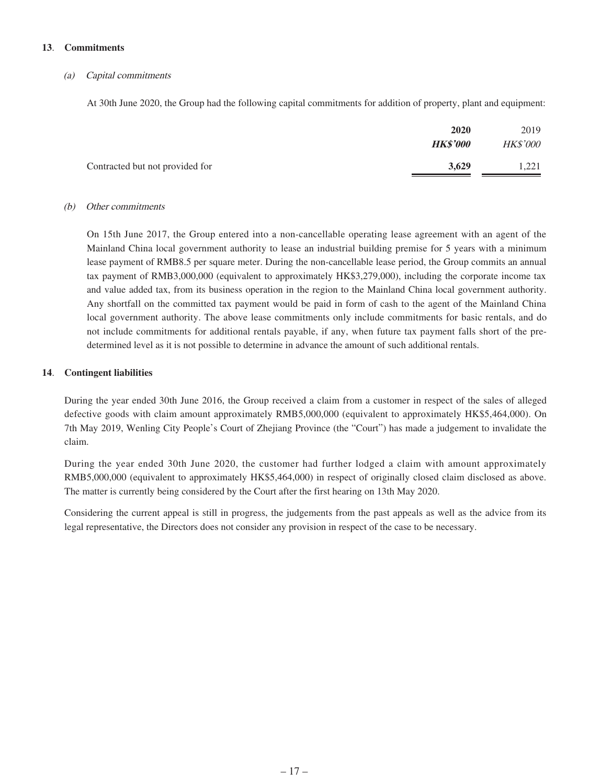#### **13**. **Commitments**

#### (a) Capital commitments

At 30th June 2020, the Group had the following capital commitments for addition of property, plant and equipment:

|                                 | 2020  | 2019            |
|---------------------------------|-------|-----------------|
| <b>HK\$'000</b>                 |       | <b>HK\$'000</b> |
| Contracted but not provided for | 3.629 | 1.221           |

#### (b) Other commitments

On 15th June 2017, the Group entered into a non-cancellable operating lease agreement with an agent of the Mainland China local government authority to lease an industrial building premise for 5 years with a minimum lease payment of RMB8.5 per square meter. During the non-cancellable lease period, the Group commits an annual tax payment of RMB3,000,000 (equivalent to approximately HK\$3,279,000), including the corporate income tax and value added tax, from its business operation in the region to the Mainland China local government authority. Any shortfall on the committed tax payment would be paid in form of cash to the agent of the Mainland China local government authority. The above lease commitments only include commitments for basic rentals, and do not include commitments for additional rentals payable, if any, when future tax payment falls short of the predetermined level as it is not possible to determine in advance the amount of such additional rentals.

#### **14**. **Contingent liabilities**

During the year ended 30th June 2016, the Group received a claim from a customer in respect of the sales of alleged defective goods with claim amount approximately RMB5,000,000 (equivalent to approximately HK\$5,464,000). On 7th May 2019, Wenling City People's Court of Zhejiang Province (the "Court") has made a judgement to invalidate the claim.

During the year ended 30th June 2020, the customer had further lodged a claim with amount approximately RMB5,000,000 (equivalent to approximately HK\$5,464,000) in respect of originally closed claim disclosed as above. The matter is currently being considered by the Court after the first hearing on 13th May 2020.

Considering the current appeal is still in progress, the judgements from the past appeals as well as the advice from its legal representative, the Directors does not consider any provision in respect of the case to be necessary.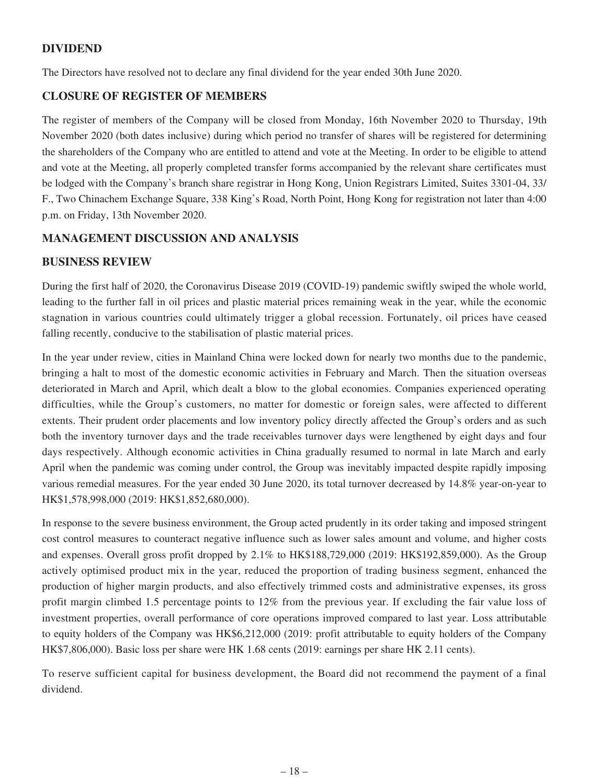## **DIVIDEND**

The Directors have resolved not to declare any final dividend for the year ended 30th June 2020.

### **CLOSURE OF REGISTER OF MEMBERS**

The register of members of the Company will be closed from Monday, 16th November 2020 to Thursday, 19th November 2020 (both dates inclusive) during which period no transfer of shares will be registered for determining the shareholders of the Company who are entitled to attend and vote at the Meeting. In order to be eligible to attend and vote at the Meeting, all properly completed transfer forms accompanied by the relevant share certificates must be lodged with the Company's branch share registrar in Hong Kong, Union Registrars Limited, Suites 3301-04, 33/ F., Two Chinachem Exchange Square, 338 King's Road, North Point, Hong Kong for registration not later than 4:00 p.m. on Friday, 13th November 2020.

### **MANAGEMENT DISCUSSION AND ANALYSIS**

### **BUSINESS REVIEW**

During the first half of 2020, the Coronavirus Disease 2019 (COVID-19) pandemic swiftly swiped the whole world, leading to the further fall in oil prices and plastic material prices remaining weak in the year, while the economic stagnation in various countries could ultimately trigger a global recession. Fortunately, oil prices have ceased falling recently, conducive to the stabilisation of plastic material prices.

In the year under review, cities in Mainland China were locked down for nearly two months due to the pandemic, bringing a halt to most of the domestic economic activities in February and March. Then the situation overseas deteriorated in March and April, which dealt a blow to the global economies. Companies experienced operating difficulties, while the Group's customers, no matter for domestic or foreign sales, were affected to different extents. Their prudent order placements and low inventory policy directly affected the Group's orders and as such both the inventory turnover days and the trade receivables turnover days were lengthened by eight days and four days respectively. Although economic activities in China gradually resumed to normal in late March and early April when the pandemic was coming under control, the Group was inevitably impacted despite rapidly imposing various remedial measures. For the year ended 30 June 2020, its total turnover decreased by 14.8% year-on-year to HK\$1,578,998,000 (2019: HK\$1,852,680,000).

In response to the severe business environment, the Group acted prudently in its order taking and imposed stringent cost control measures to counteract negative influence such as lower sales amount and volume, and higher costs and expenses. Overall gross profit dropped by 2.1% to HK\$188,729,000 (2019: HK\$192,859,000). As the Group actively optimised product mix in the year, reduced the proportion of trading business segment, enhanced the production of higher margin products, and also effectively trimmed costs and administrative expenses, its gross profit margin climbed 1.5 percentage points to 12% from the previous year. If excluding the fair value loss of investment properties, overall performance of core operations improved compared to last year. Loss attributable to equity holders of the Company was HK\$6,212,000 (2019: profit attributable to equity holders of the Company HK\$7,806,000). Basic loss per share were HK 1.68 cents (2019: earnings per share HK 2.11 cents).

To reserve sufficient capital for business development, the Board did not recommend the payment of a final dividend.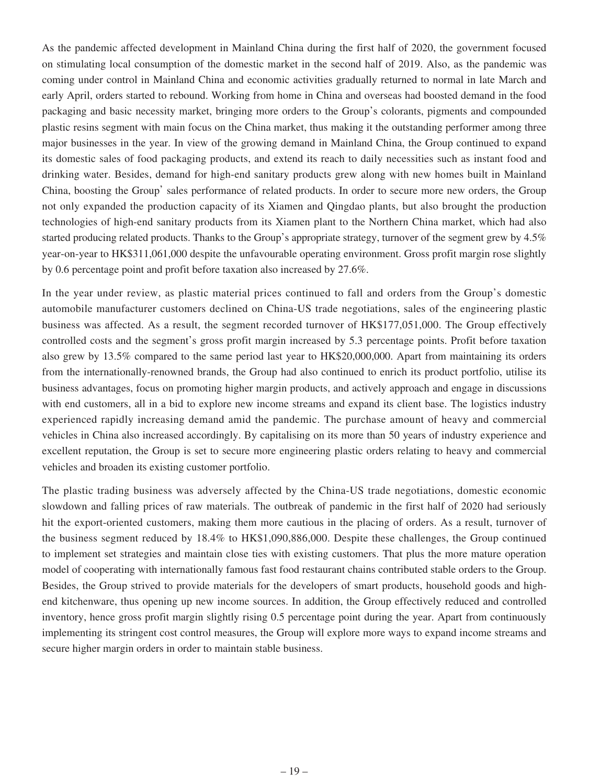As the pandemic affected development in Mainland China during the first half of 2020, the government focused on stimulating local consumption of the domestic market in the second half of 2019. Also, as the pandemic was coming under control in Mainland China and economic activities gradually returned to normal in late March and early April, orders started to rebound. Working from home in China and overseas had boosted demand in the food packaging and basic necessity market, bringing more orders to the Group's colorants, pigments and compounded plastic resins segment with main focus on the China market, thus making it the outstanding performer among three major businesses in the year. In view of the growing demand in Mainland China, the Group continued to expand its domestic sales of food packaging products, and extend its reach to daily necessities such as instant food and drinking water. Besides, demand for high-end sanitary products grew along with new homes built in Mainland China, boosting the Group' sales performance of related products. In order to secure more new orders, the Group not only expanded the production capacity of its Xiamen and Qingdao plants, but also brought the production technologies of high-end sanitary products from its Xiamen plant to the Northern China market, which had also started producing related products. Thanks to the Group's appropriate strategy, turnover of the segment grew by 4.5% year-on-year to HK\$311,061,000 despite the unfavourable operating environment. Gross profit margin rose slightly by 0.6 percentage point and profit before taxation also increased by 27.6%.

In the year under review, as plastic material prices continued to fall and orders from the Group's domestic automobile manufacturer customers declined on China-US trade negotiations, sales of the engineering plastic business was affected. As a result, the segment recorded turnover of HK\$177,051,000. The Group effectively controlled costs and the segment's gross profit margin increased by 5.3 percentage points. Profit before taxation also grew by 13.5% compared to the same period last year to HK\$20,000,000. Apart from maintaining its orders from the internationally-renowned brands, the Group had also continued to enrich its product portfolio, utilise its business advantages, focus on promoting higher margin products, and actively approach and engage in discussions with end customers, all in a bid to explore new income streams and expand its client base. The logistics industry experienced rapidly increasing demand amid the pandemic. The purchase amount of heavy and commercial vehicles in China also increased accordingly. By capitalising on its more than 50 years of industry experience and excellent reputation, the Group is set to secure more engineering plastic orders relating to heavy and commercial vehicles and broaden its existing customer portfolio.

The plastic trading business was adversely affected by the China-US trade negotiations, domestic economic slowdown and falling prices of raw materials. The outbreak of pandemic in the first half of 2020 had seriously hit the export-oriented customers, making them more cautious in the placing of orders. As a result, turnover of the business segment reduced by 18.4% to HK\$1,090,886,000. Despite these challenges, the Group continued to implement set strategies and maintain close ties with existing customers. That plus the more mature operation model of cooperating with internationally famous fast food restaurant chains contributed stable orders to the Group. Besides, the Group strived to provide materials for the developers of smart products, household goods and highend kitchenware, thus opening up new income sources. In addition, the Group effectively reduced and controlled inventory, hence gross profit margin slightly rising 0.5 percentage point during the year. Apart from continuously implementing its stringent cost control measures, the Group will explore more ways to expand income streams and secure higher margin orders in order to maintain stable business.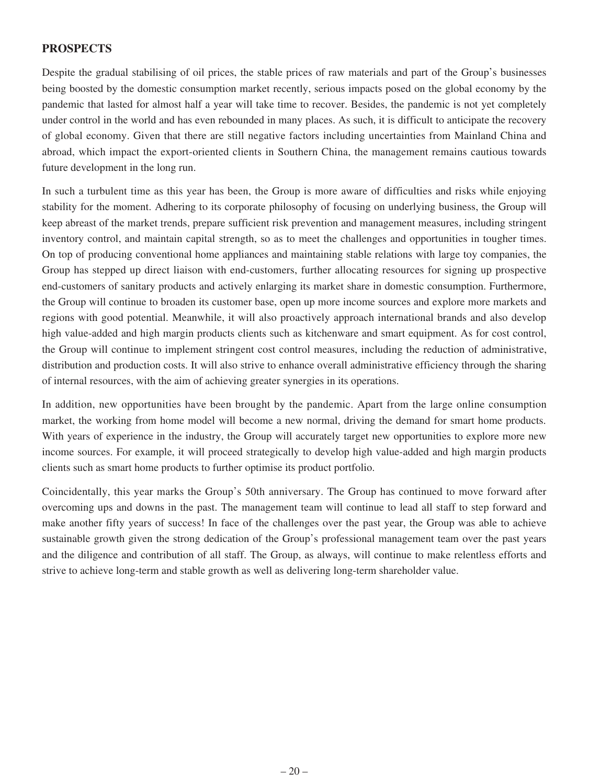### **PROSPECTS**

Despite the gradual stabilising of oil prices, the stable prices of raw materials and part of the Group's businesses being boosted by the domestic consumption market recently, serious impacts posed on the global economy by the pandemic that lasted for almost half a year will take time to recover. Besides, the pandemic is not yet completely under control in the world and has even rebounded in many places. As such, it is difficult to anticipate the recovery of global economy. Given that there are still negative factors including uncertainties from Mainland China and abroad, which impact the export-oriented clients in Southern China, the management remains cautious towards future development in the long run.

In such a turbulent time as this year has been, the Group is more aware of difficulties and risks while enjoying stability for the moment. Adhering to its corporate philosophy of focusing on underlying business, the Group will keep abreast of the market trends, prepare sufficient risk prevention and management measures, including stringent inventory control, and maintain capital strength, so as to meet the challenges and opportunities in tougher times. On top of producing conventional home appliances and maintaining stable relations with large toy companies, the Group has stepped up direct liaison with end-customers, further allocating resources for signing up prospective end-customers of sanitary products and actively enlarging its market share in domestic consumption. Furthermore, the Group will continue to broaden its customer base, open up more income sources and explore more markets and regions with good potential. Meanwhile, it will also proactively approach international brands and also develop high value-added and high margin products clients such as kitchenware and smart equipment. As for cost control, the Group will continue to implement stringent cost control measures, including the reduction of administrative, distribution and production costs. It will also strive to enhance overall administrative efficiency through the sharing of internal resources, with the aim of achieving greater synergies in its operations.

In addition, new opportunities have been brought by the pandemic. Apart from the large online consumption market, the working from home model will become a new normal, driving the demand for smart home products. With years of experience in the industry, the Group will accurately target new opportunities to explore more new income sources. For example, it will proceed strategically to develop high value-added and high margin products clients such as smart home products to further optimise its product portfolio.

Coincidentally, this year marks the Group's 50th anniversary. The Group has continued to move forward after overcoming ups and downs in the past. The management team will continue to lead all staff to step forward and make another fifty years of success! In face of the challenges over the past year, the Group was able to achieve sustainable growth given the strong dedication of the Group's professional management team over the past years and the diligence and contribution of all staff. The Group, as always, will continue to make relentless efforts and strive to achieve long-term and stable growth as well as delivering long-term shareholder value.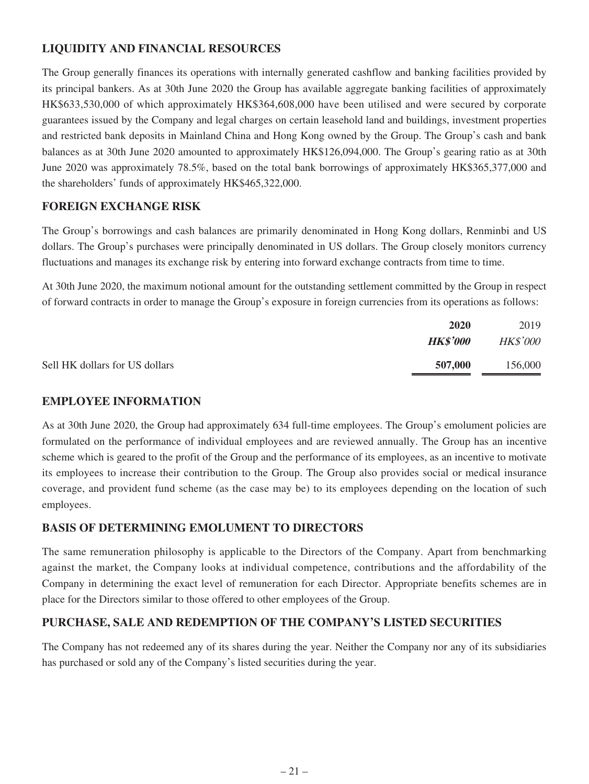# **LIQUIDITY AND FINANCIAL RESOURCES**

The Group generally finances its operations with internally generated cashflow and banking facilities provided by its principal bankers. As at 30th June 2020 the Group has available aggregate banking facilities of approximately HK\$633,530,000 of which approximately HK\$364,608,000 have been utilised and were secured by corporate guarantees issued by the Company and legal charges on certain leasehold land and buildings, investment properties and restricted bank deposits in Mainland China and Hong Kong owned by the Group. The Group's cash and bank balances as at 30th June 2020 amounted to approximately HK\$126,094,000. The Group's gearing ratio as at 30th June 2020 was approximately 78.5%, based on the total bank borrowings of approximately HK\$365,377,000 and the shareholders' funds of approximately HK\$465,322,000.

## **FOREIGN EXCHANGE RISK**

The Group's borrowings and cash balances are primarily denominated in Hong Kong dollars, Renminbi and US dollars. The Group's purchases were principally denominated in US dollars. The Group closely monitors currency fluctuations and manages its exchange risk by entering into forward exchange contracts from time to time.

At 30th June 2020, the maximum notional amount for the outstanding settlement committed by the Group in respect of forward contracts in order to manage the Group's exposure in foreign currencies from its operations as follows:

|                                | 2020            | 2019            |
|--------------------------------|-----------------|-----------------|
|                                | <b>HK\$'000</b> | <b>HK\$'000</b> |
| Sell HK dollars for US dollars | 507,000         | 156,000         |

# **EMPLOYEE INFORMATION**

As at 30th June 2020, the Group had approximately 634 full-time employees. The Group's emolument policies are formulated on the performance of individual employees and are reviewed annually. The Group has an incentive scheme which is geared to the profit of the Group and the performance of its employees, as an incentive to motivate its employees to increase their contribution to the Group. The Group also provides social or medical insurance coverage, and provident fund scheme (as the case may be) to its employees depending on the location of such employees.

### **BASIS OF DETERMINING EMOLUMENT TO DIRECTORS**

The same remuneration philosophy is applicable to the Directors of the Company. Apart from benchmarking against the market, the Company looks at individual competence, contributions and the affordability of the Company in determining the exact level of remuneration for each Director. Appropriate benefits schemes are in place for the Directors similar to those offered to other employees of the Group.

### **PURCHASE, SALE AND REDEMPTION OF THE COMPANY'S LISTED SECURITIES**

The Company has not redeemed any of its shares during the year. Neither the Company nor any of its subsidiaries has purchased or sold any of the Company's listed securities during the year.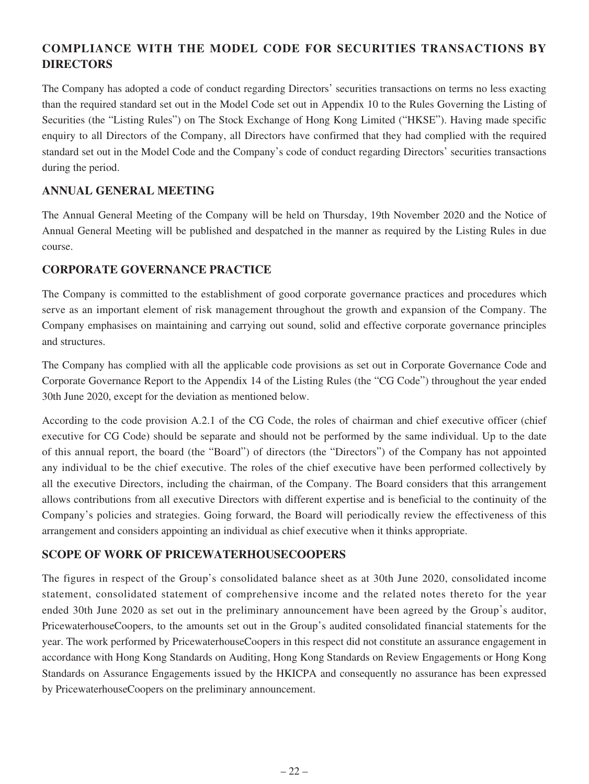# **COMPLIANCE WITH THE MODEL CODE FOR SECURITIES TRANSACTIONS BY DIRECTORS**

The Company has adopted a code of conduct regarding Directors' securities transactions on terms no less exacting than the required standard set out in the Model Code set out in Appendix 10 to the Rules Governing the Listing of Securities (the "Listing Rules") on The Stock Exchange of Hong Kong Limited ("HKSE"). Having made specific enquiry to all Directors of the Company, all Directors have confirmed that they had complied with the required standard set out in the Model Code and the Company's code of conduct regarding Directors' securities transactions during the period.

### **ANNUAL GENERAL MEETING**

The Annual General Meeting of the Company will be held on Thursday, 19th November 2020 and the Notice of Annual General Meeting will be published and despatched in the manner as required by the Listing Rules in due course.

### **CORPORATE GOVERNANCE PRACTICE**

The Company is committed to the establishment of good corporate governance practices and procedures which serve as an important element of risk management throughout the growth and expansion of the Company. The Company emphasises on maintaining and carrying out sound, solid and effective corporate governance principles and structures.

The Company has complied with all the applicable code provisions as set out in Corporate Governance Code and Corporate Governance Report to the Appendix 14 of the Listing Rules (the "CG Code") throughout the year ended 30th June 2020, except for the deviation as mentioned below.

According to the code provision A.2.1 of the CG Code, the roles of chairman and chief executive officer (chief executive for CG Code) should be separate and should not be performed by the same individual. Up to the date of this annual report, the board (the "Board") of directors (the "Directors") of the Company has not appointed any individual to be the chief executive. The roles of the chief executive have been performed collectively by all the executive Directors, including the chairman, of the Company. The Board considers that this arrangement allows contributions from all executive Directors with different expertise and is beneficial to the continuity of the Company's policies and strategies. Going forward, the Board will periodically review the effectiveness of this arrangement and considers appointing an individual as chief executive when it thinks appropriate.

### **SCOPE OF WORK OF PRICEWATERHOUSECOOPERS**

The figures in respect of the Group's consolidated balance sheet as at 30th June 2020, consolidated income statement, consolidated statement of comprehensive income and the related notes thereto for the year ended 30th June 2020 as set out in the preliminary announcement have been agreed by the Group's auditor, PricewaterhouseCoopers, to the amounts set out in the Group's audited consolidated financial statements for the year. The work performed by PricewaterhouseCoopers in this respect did not constitute an assurance engagement in accordance with Hong Kong Standards on Auditing, Hong Kong Standards on Review Engagements or Hong Kong Standards on Assurance Engagements issued by the HKICPA and consequently no assurance has been expressed by PricewaterhouseCoopers on the preliminary announcement.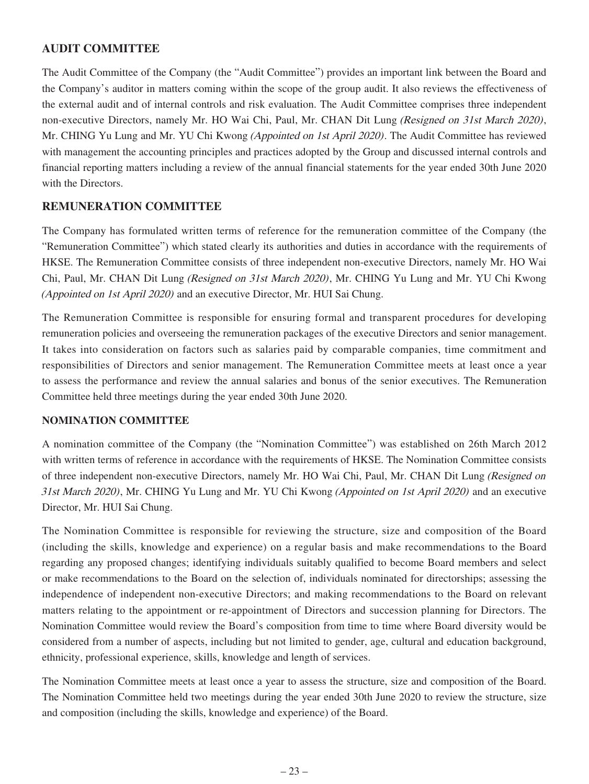### **AUDIT COMMITTEE**

The Audit Committee of the Company (the "Audit Committee") provides an important link between the Board and the Company's auditor in matters coming within the scope of the group audit. It also reviews the effectiveness of the external audit and of internal controls and risk evaluation. The Audit Committee comprises three independent non-executive Directors, namely Mr. HO Wai Chi, Paul, Mr. CHAN Dit Lung *(Resigned on 31st March 2020)*, Mr. CHING Yu Lung and Mr. YU Chi Kwong (Appointed on 1st April 2020). The Audit Committee has reviewed with management the accounting principles and practices adopted by the Group and discussed internal controls and financial reporting matters including a review of the annual financial statements for the year ended 30th June 2020 with the Directors.

### **REMUNERATION COMMITTEE**

The Company has formulated written terms of reference for the remuneration committee of the Company (the "Remuneration Committee") which stated clearly its authorities and duties in accordance with the requirements of HKSE. The Remuneration Committee consists of three independent non-executive Directors, namely Mr. HO Wai Chi, Paul, Mr. CHAN Dit Lung (Resigned on 31st March 2020), Mr. CHING Yu Lung and Mr. YU Chi Kwong (Appointed on 1st April 2020) and an executive Director, Mr. HUI Sai Chung.

The Remuneration Committee is responsible for ensuring formal and transparent procedures for developing remuneration policies and overseeing the remuneration packages of the executive Directors and senior management. It takes into consideration on factors such as salaries paid by comparable companies, time commitment and responsibilities of Directors and senior management. The Remuneration Committee meets at least once a year to assess the performance and review the annual salaries and bonus of the senior executives. The Remuneration Committee held three meetings during the year ended 30th June 2020.

### **NOMINATION COMMITTEE**

A nomination committee of the Company (the "Nomination Committee") was established on 26th March 2012 with written terms of reference in accordance with the requirements of HKSE. The Nomination Committee consists of three independent non-executive Directors, namely Mr. HO Wai Chi, Paul, Mr. CHAN Dit Lung (Resigned on 31st March 2020), Mr. CHING Yu Lung and Mr. YU Chi Kwong (Appointed on 1st April 2020) and an executive Director, Mr. HUI Sai Chung.

The Nomination Committee is responsible for reviewing the structure, size and composition of the Board (including the skills, knowledge and experience) on a regular basis and make recommendations to the Board regarding any proposed changes; identifying individuals suitably qualified to become Board members and select or make recommendations to the Board on the selection of, individuals nominated for directorships; assessing the independence of independent non-executive Directors; and making recommendations to the Board on relevant matters relating to the appointment or re-appointment of Directors and succession planning for Directors. The Nomination Committee would review the Board's composition from time to time where Board diversity would be considered from a number of aspects, including but not limited to gender, age, cultural and education background, ethnicity, professional experience, skills, knowledge and length of services.

The Nomination Committee meets at least once a year to assess the structure, size and composition of the Board. The Nomination Committee held two meetings during the year ended 30th June 2020 to review the structure, size and composition (including the skills, knowledge and experience) of the Board.